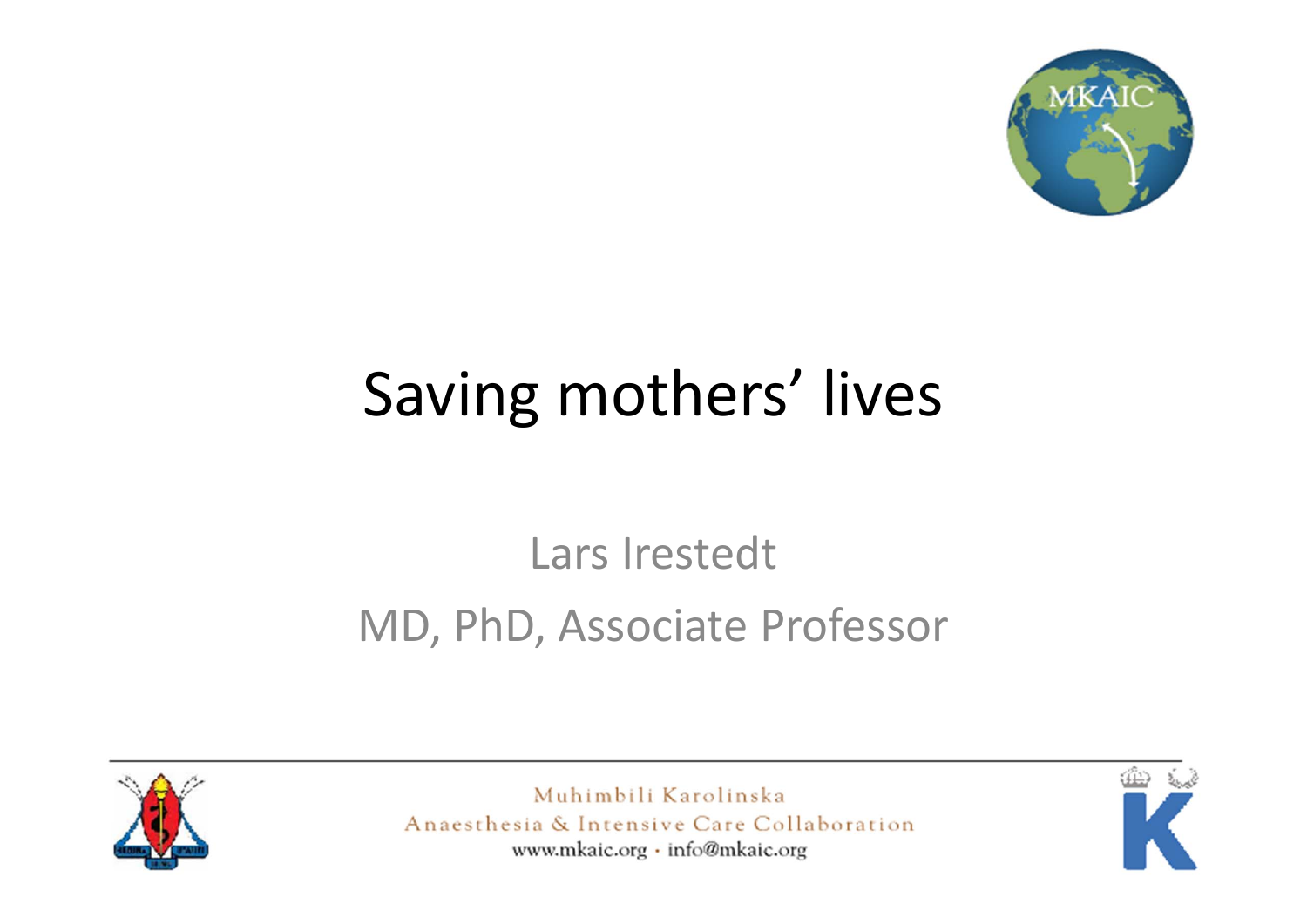

### Saving mothers' lives

### Lars Irestedt MD, PhD, Associate Professor



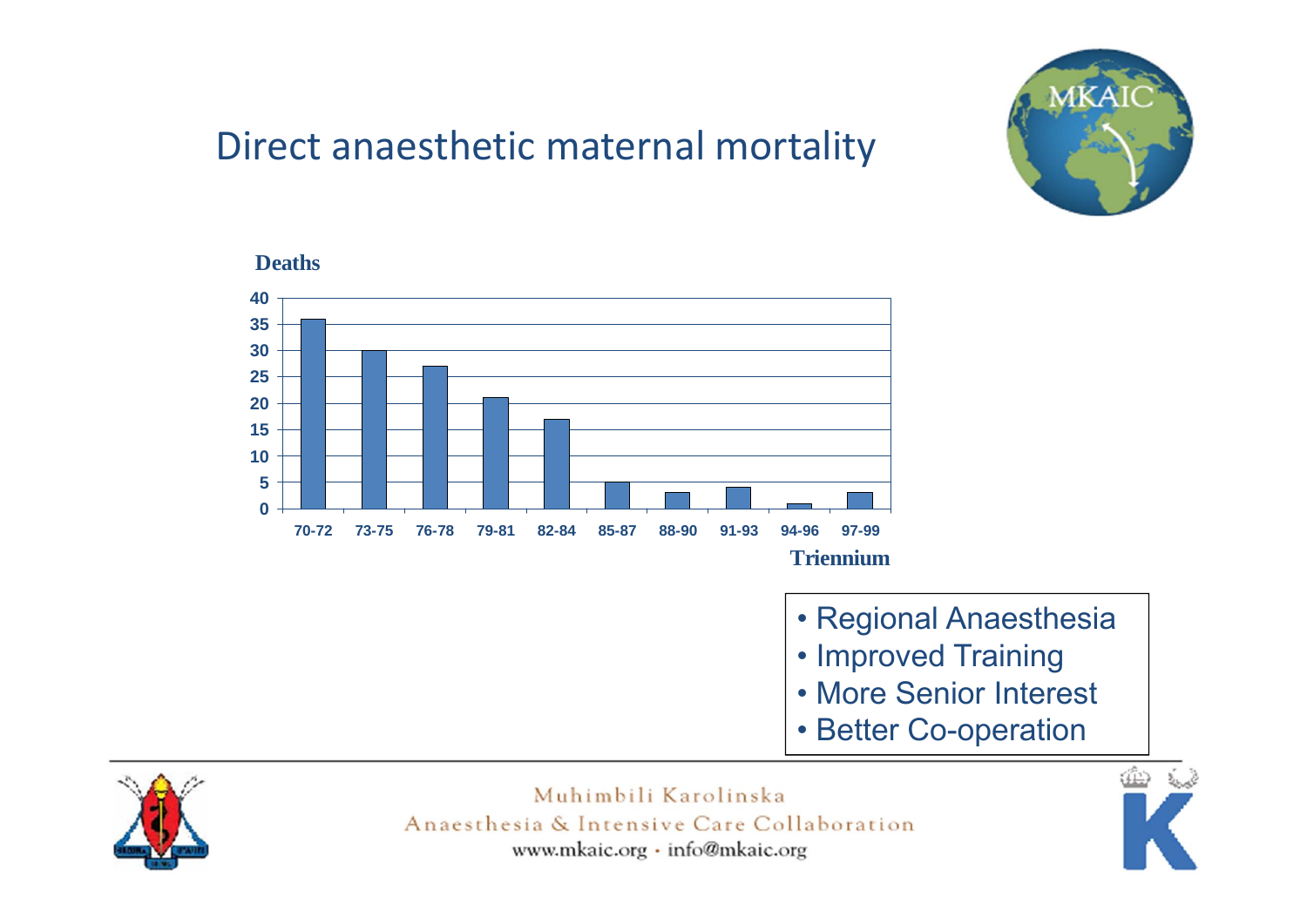

#### Direct anaesthetic maternal mortality



- Regional Anaesthesia
- Improved Training
- More Senior Interest
- Better Co-operation



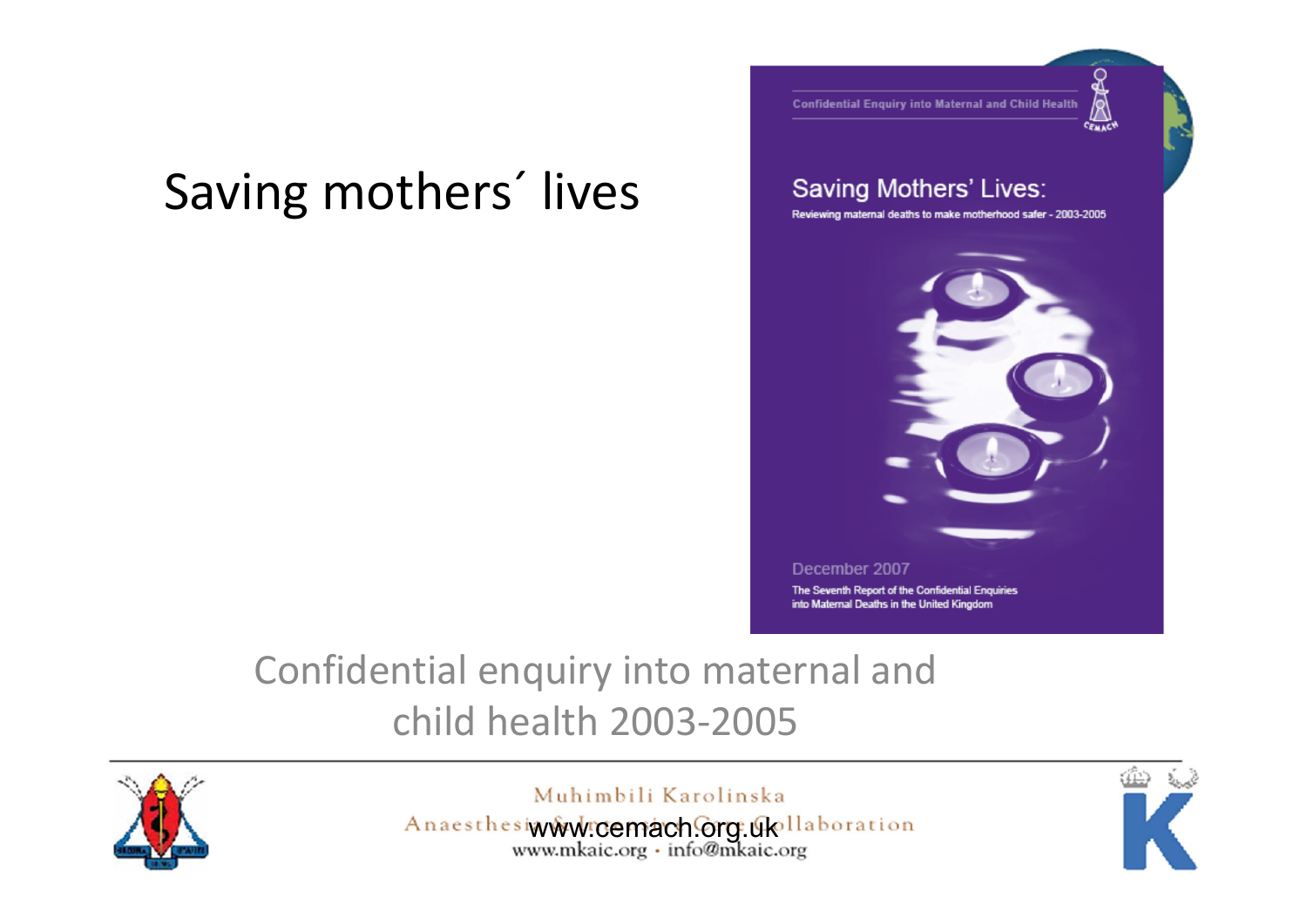### Saving mothers´ lives

CEMACY

**Confidential Enguiry into Maternal and Child Health** 

#### Saving Mothers' Lives:

Reviewing maternal deaths to make motherhood safer - 2003-2005



#### Confidential enquiry into maternal and child health 2003‐2005



Muhimbili Karolinska

Anaesthesiwww.cemach.org.ukollaboration

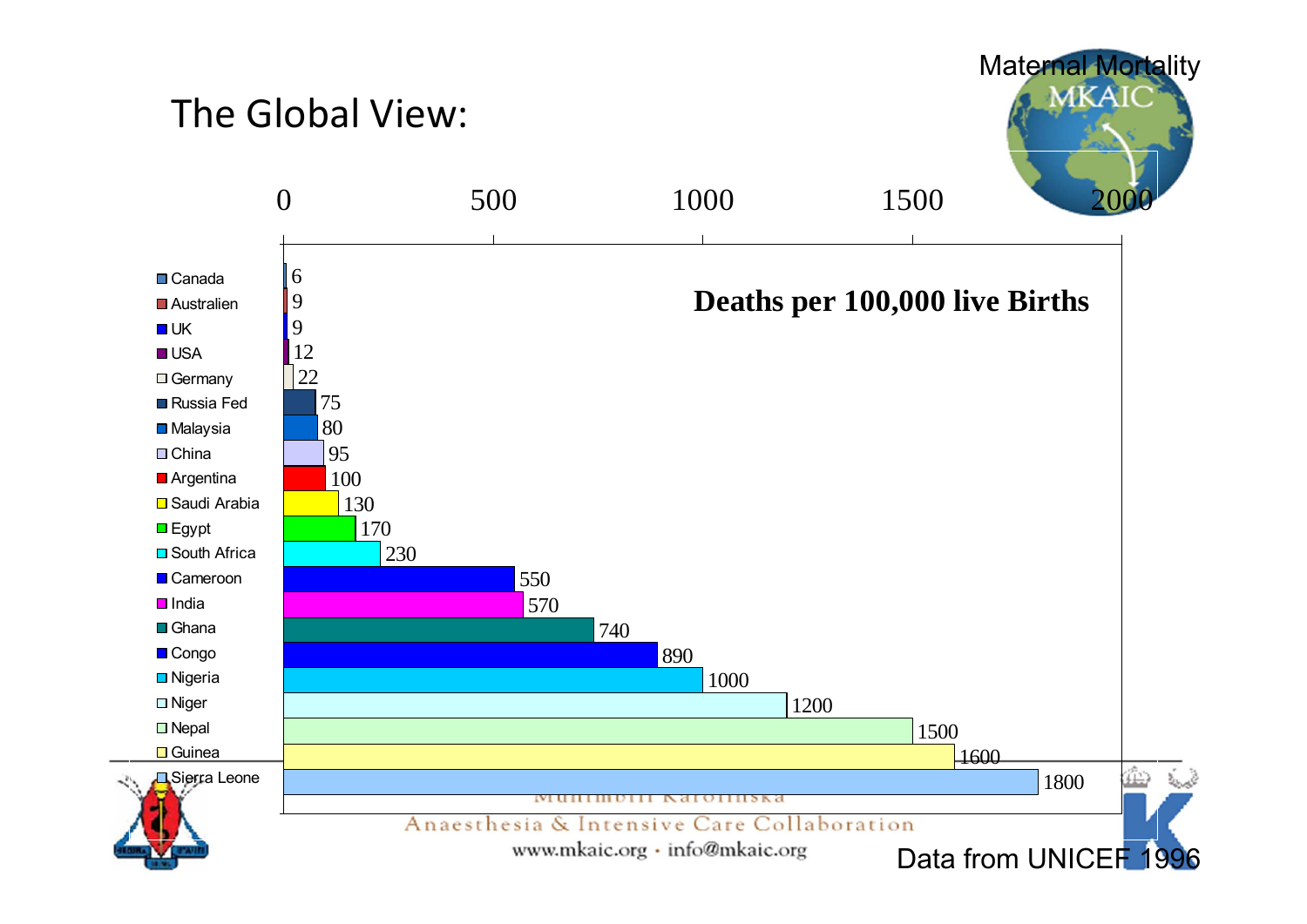#### The Global View:



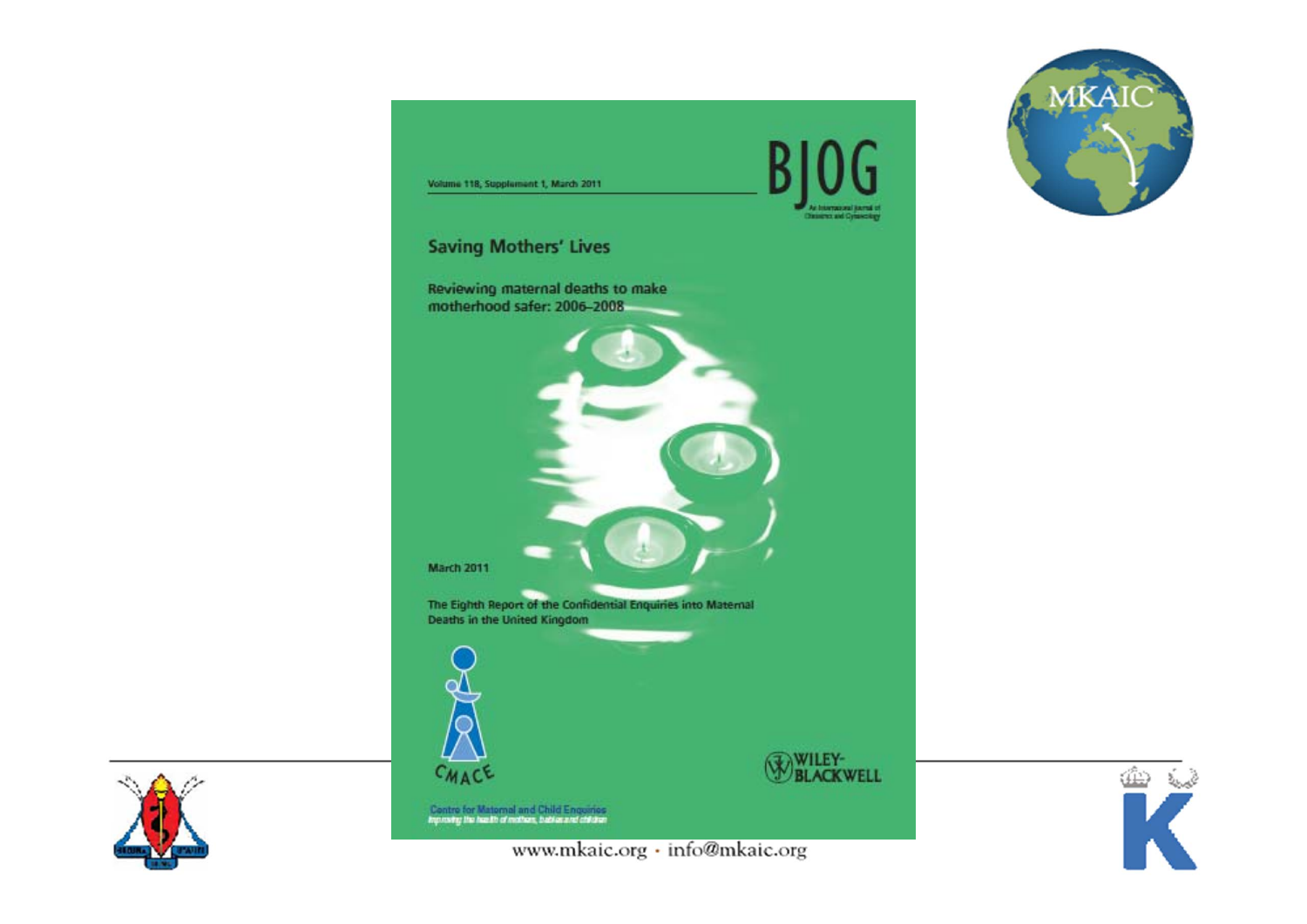



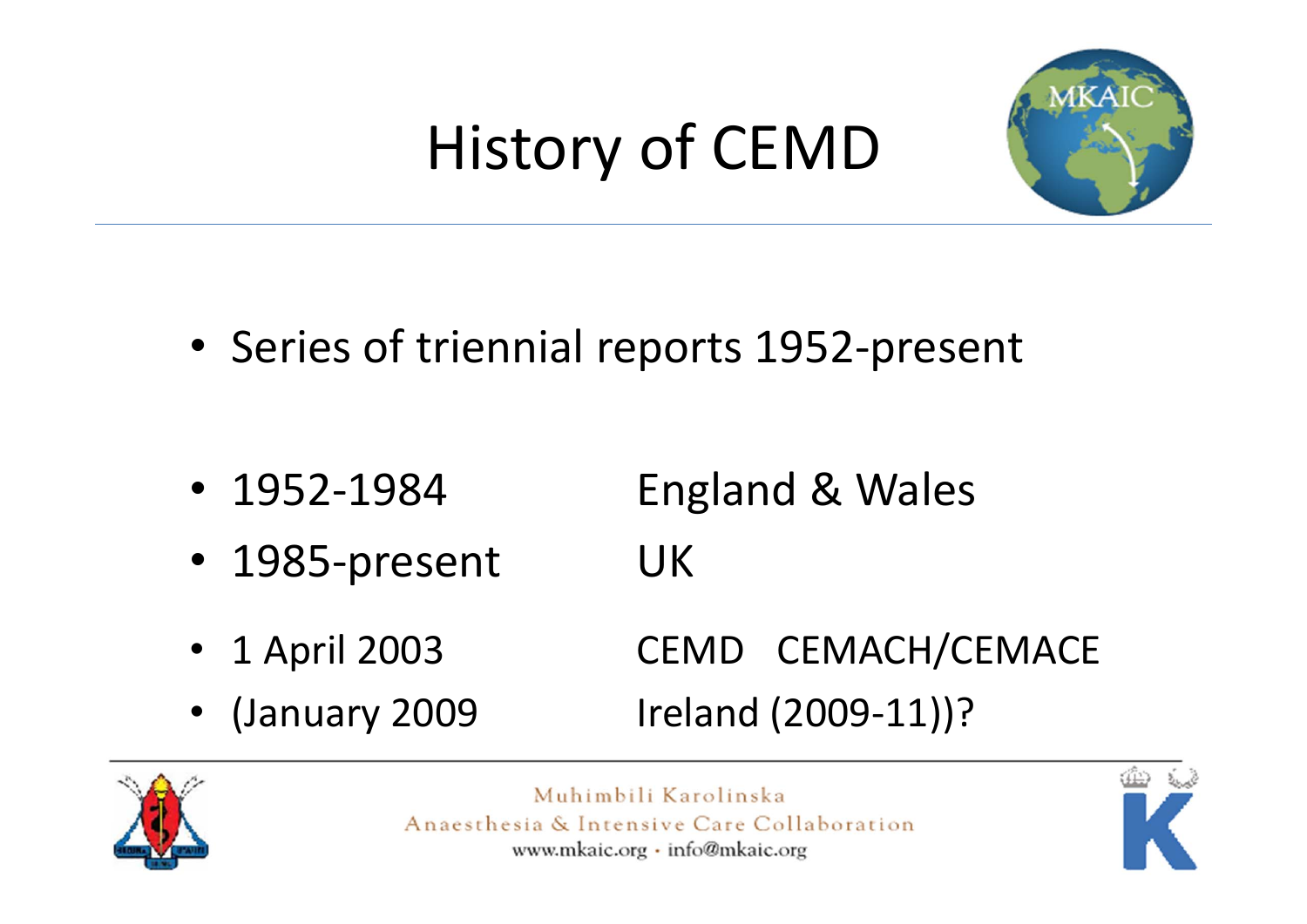## History of CEMD



- Series of triennial reports 1952‐present
- 1952‐1984England & Wales
- 1985-present UK
- 1CEMD CEMACH/CEMACE
- •

(January 2009 Ireland (2009‐11))?



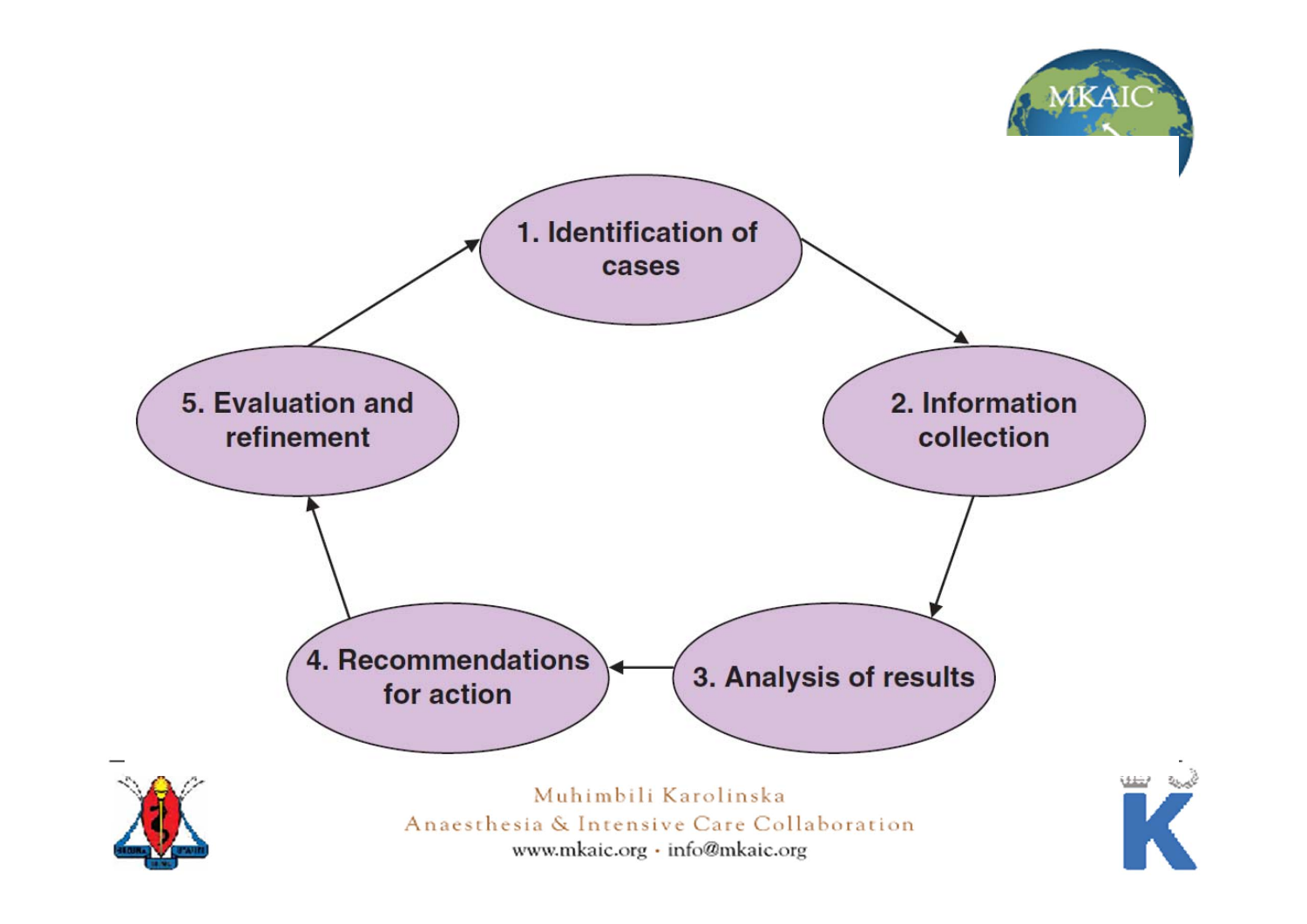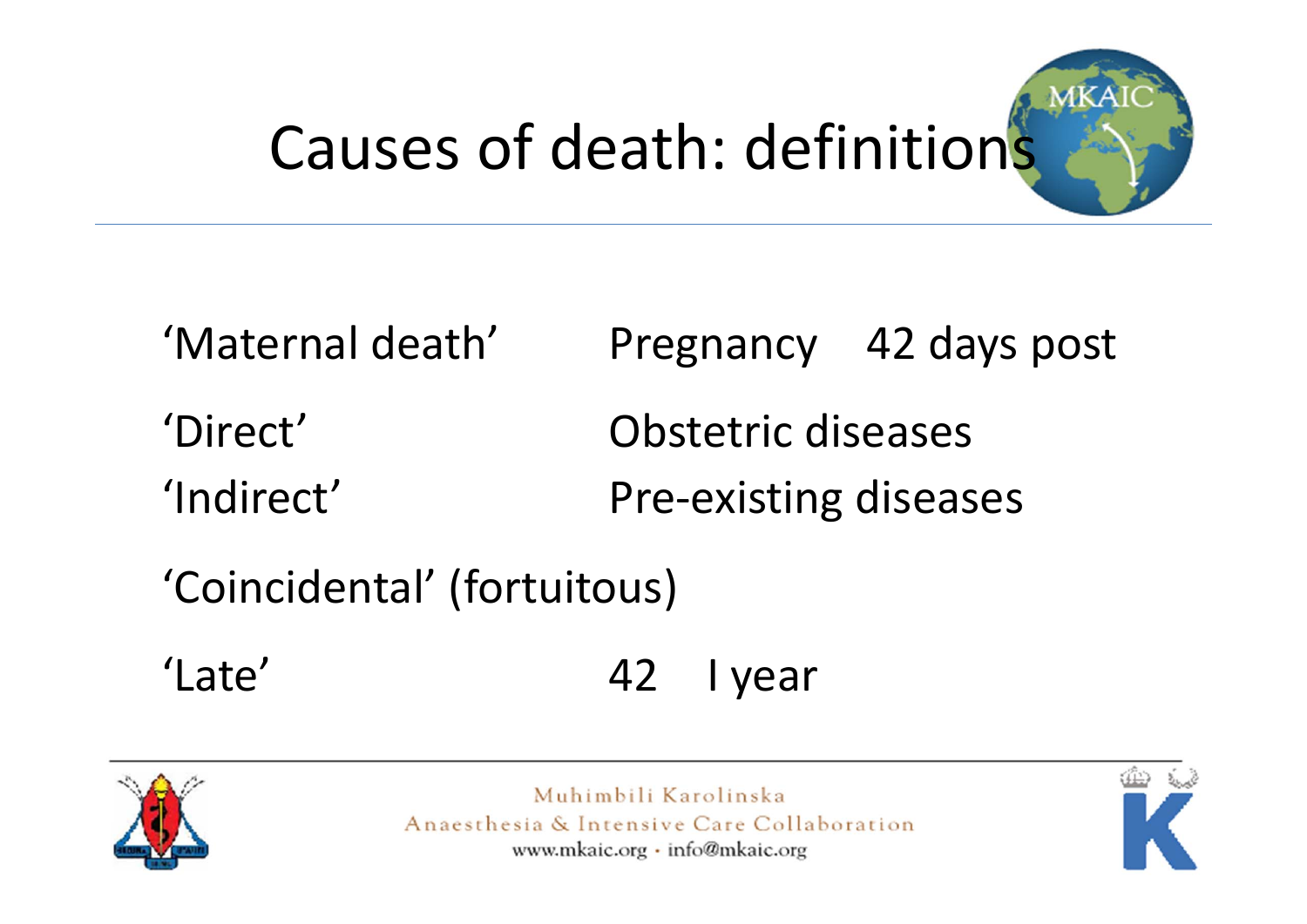# Causes of death: definitions



| 'Maternal death' |                              | Pregnancy 42 days post |
|------------------|------------------------------|------------------------|
| 'Direct'         | Obstetric diseases           |                        |
| 'Indirect'       | <b>Pre-existing diseases</b> |                        |

'Coincidental' (fortuitous)

'Late' 42I year



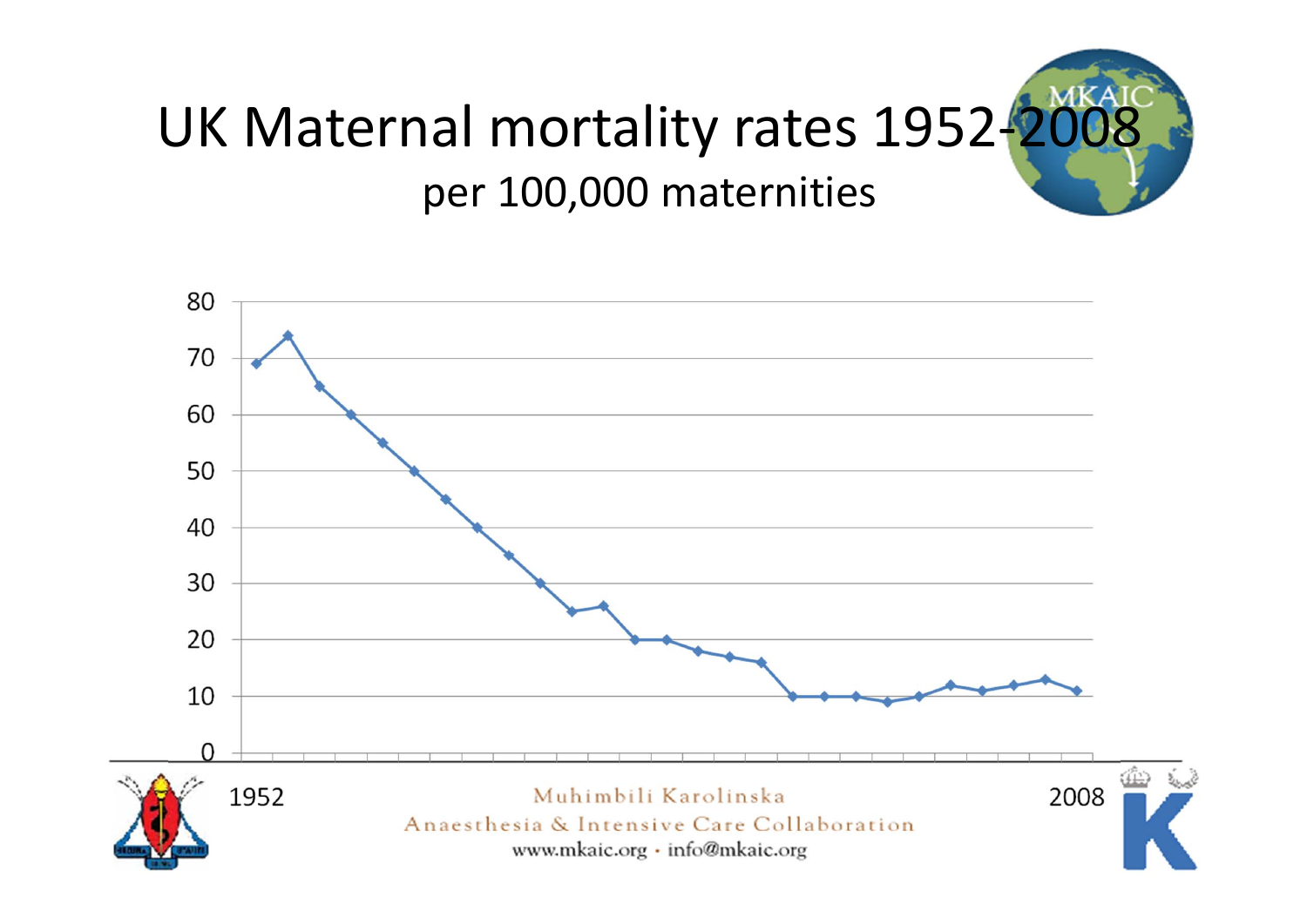

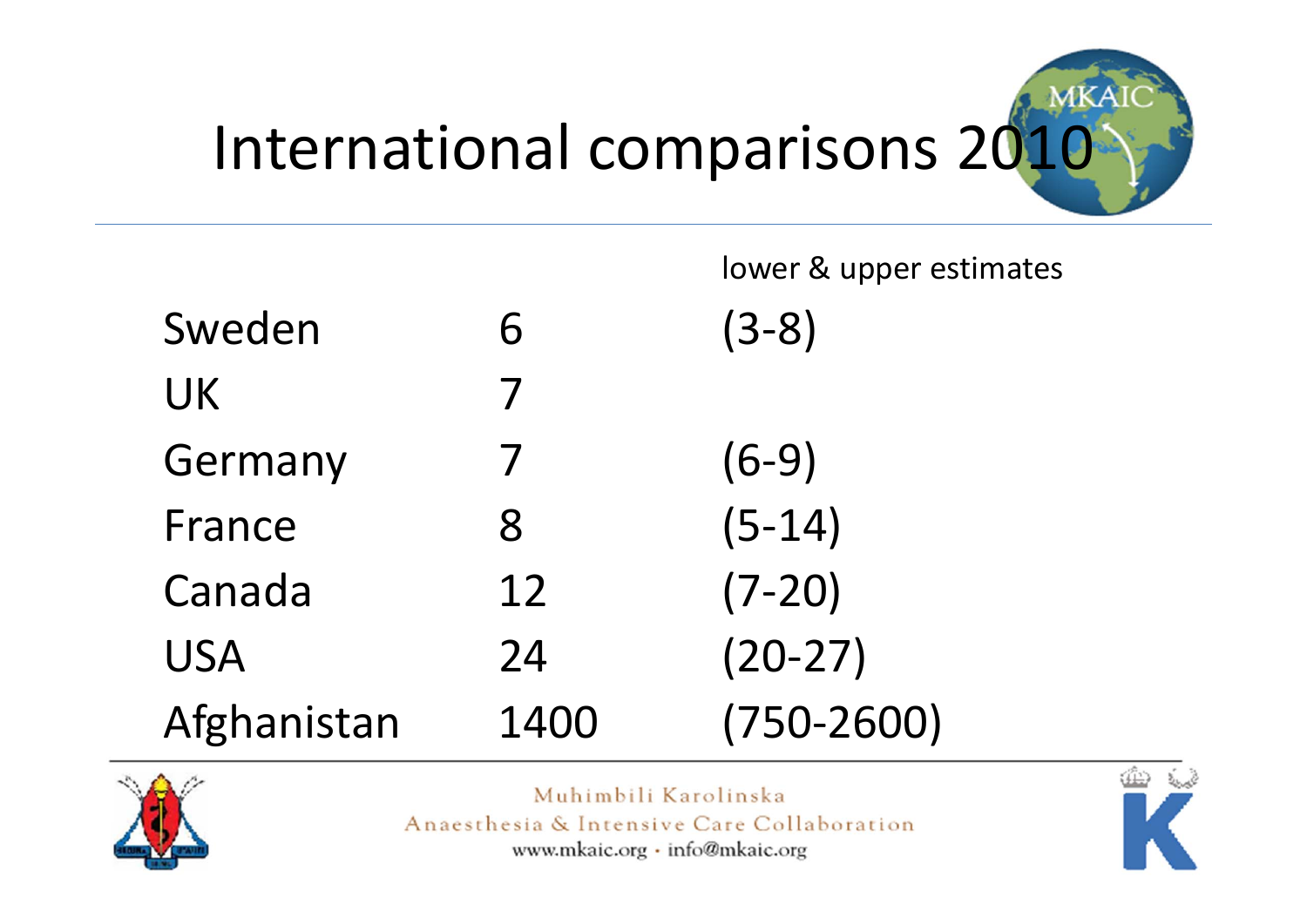

|             |      | lower & upper estimates |
|-------------|------|-------------------------|
| Sweden      | 6    | $(3-8)$                 |
| <b>UK</b>   | 7    |                         |
| Germany     | 7    | $(6-9)$                 |
| France      | 8    | $(5-14)$                |
| Canada      | 12   | $(7-20)$                |
| <b>USA</b>  | 24   | $(20-27)$               |
| Afghanistan | 1400 | $(750 - 2600)$          |



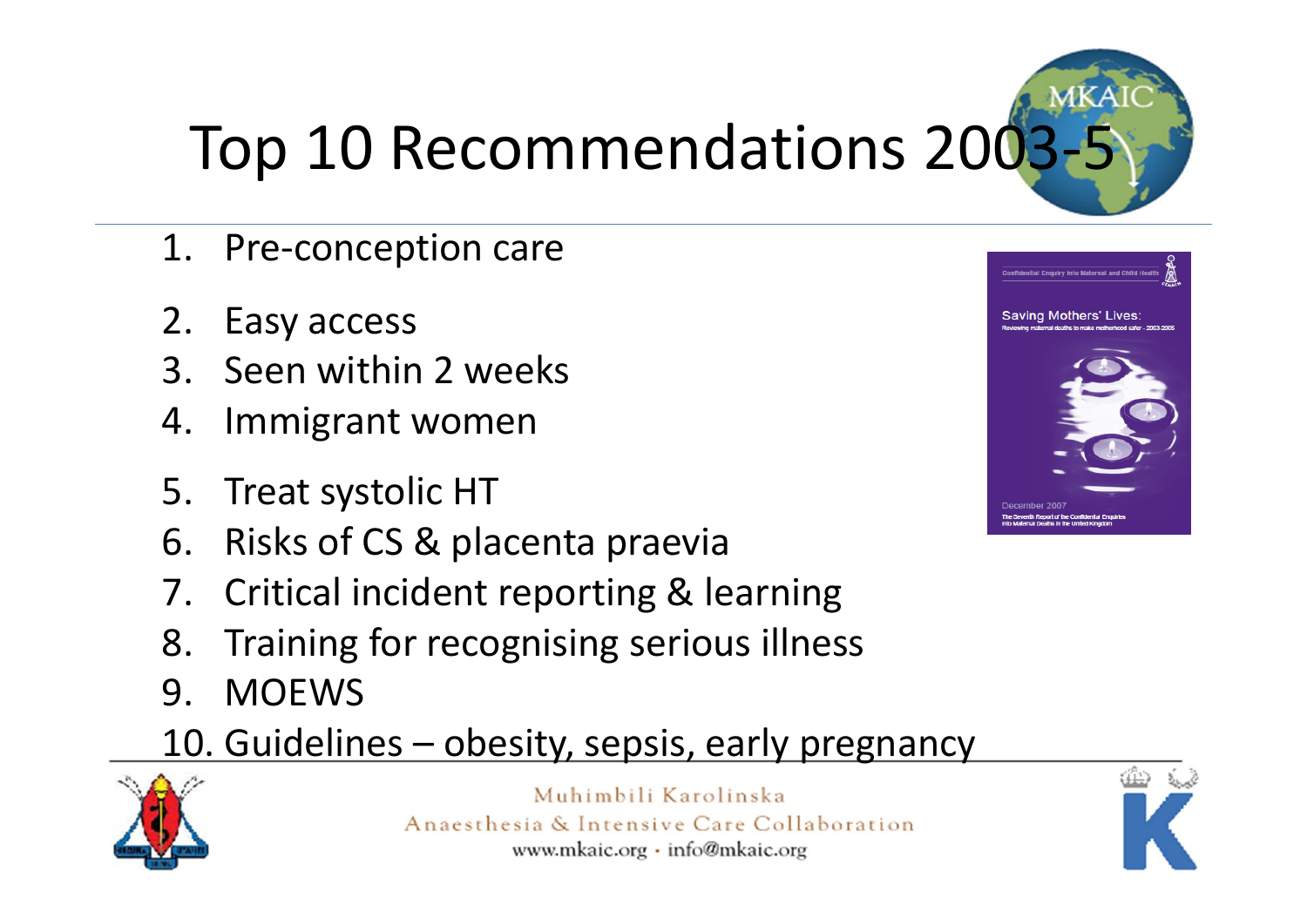# Top 10 Recommendations 2003

- 1. Pre‐conception care
- 2. Easy access
- 3. Seen within 2 weeks
- 4. Immigrant women
- 5. Treat systolic HT
- 6. Risks of CS & placenta praevia
- 7. Critical incident reporting & learning
- 8. Training for recognising serious illness
- 9. MOEWS

#### 10. Guidelines – obesity, sepsis, early pregnancy





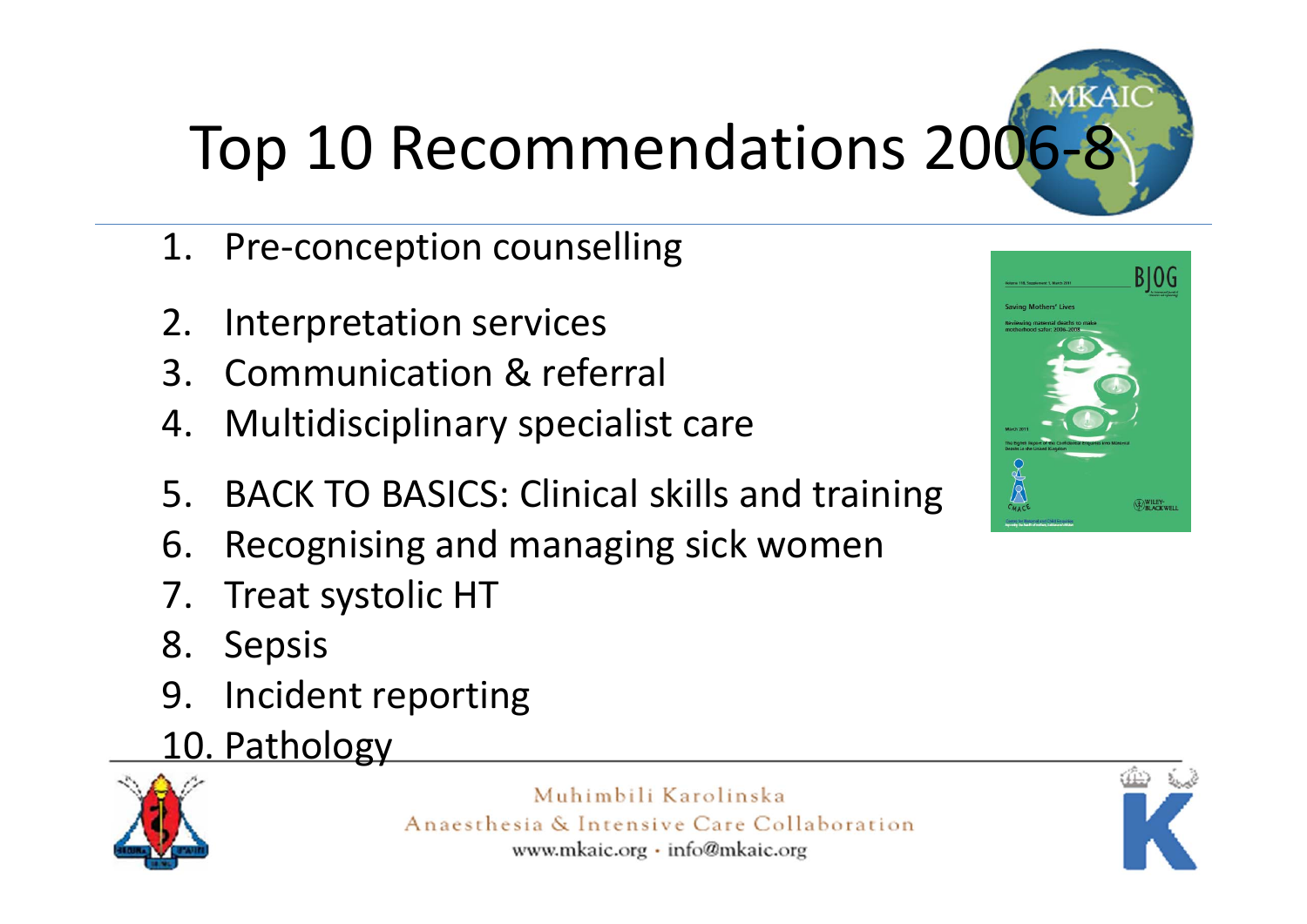## Top 10 Recommendations 200

- 1. Pre-conception counselling
- 2. Interpretation services
- 3. Communication & referral
- 4. Multidisciplinary specialist care
- 5. BACK TO BASICS: Clinical skills and training
- 6. Recognising and managing sick women
- 7. Treat systolic HT
- 8. Sepsis
- 9. Incident reporting
- 10. Pathology





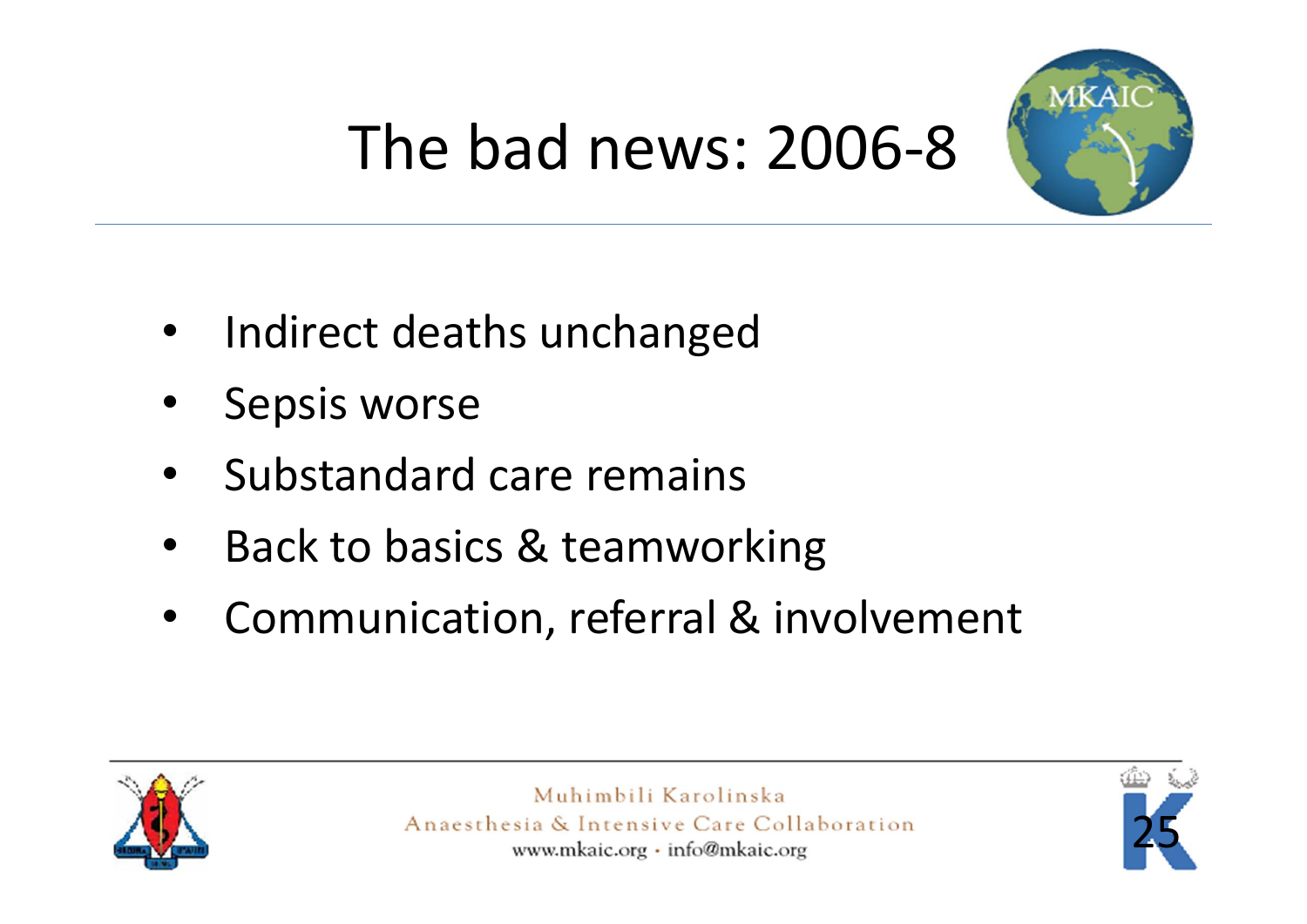

## The bad news: 2006‐8

- •• Indirect deaths unchanged
- •Sepsis worse
- •• Substandard care remains
- •• Back to basics & teamworking
- •Communication, referral & involvement



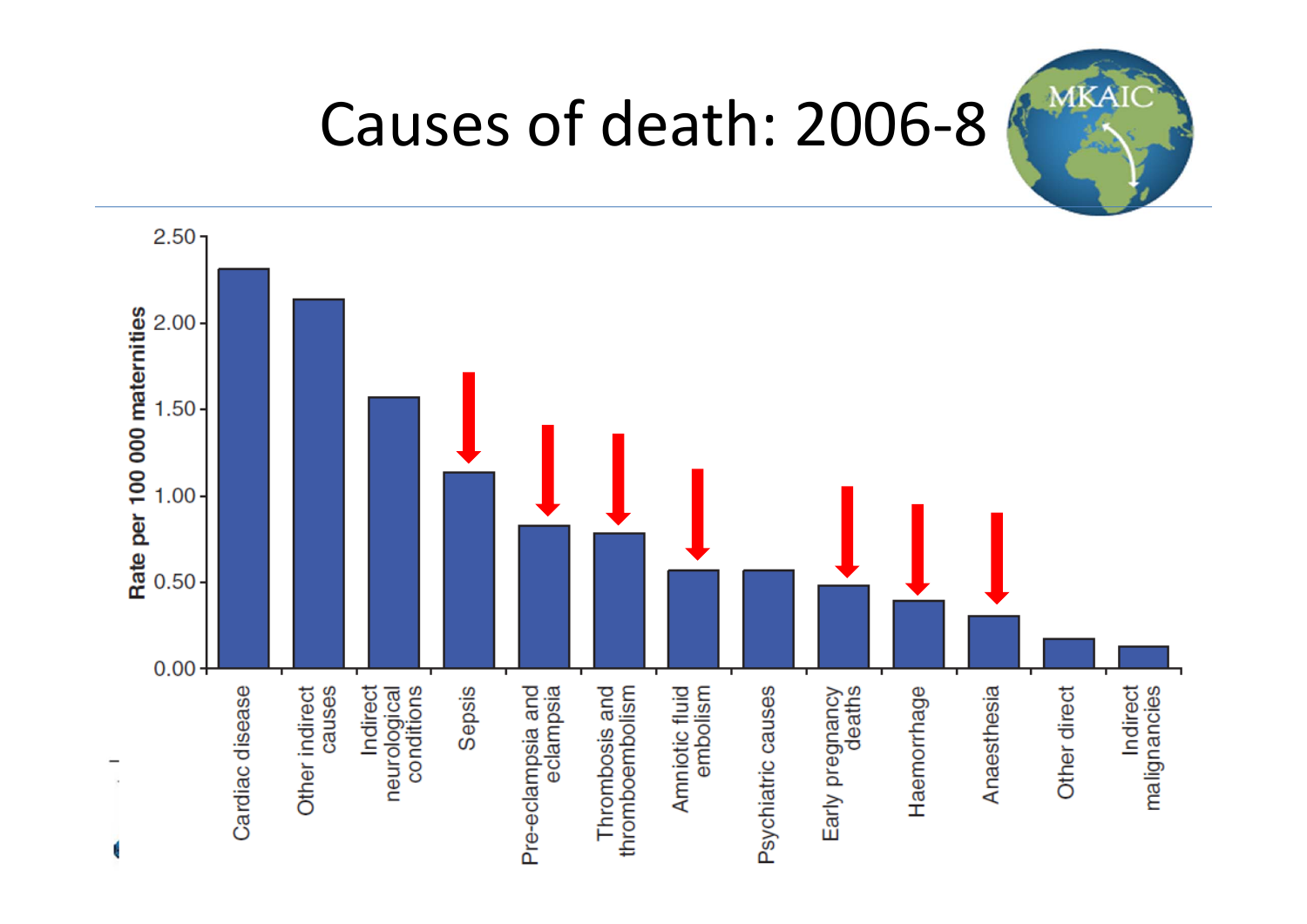

### Causes of death: 2006‐8

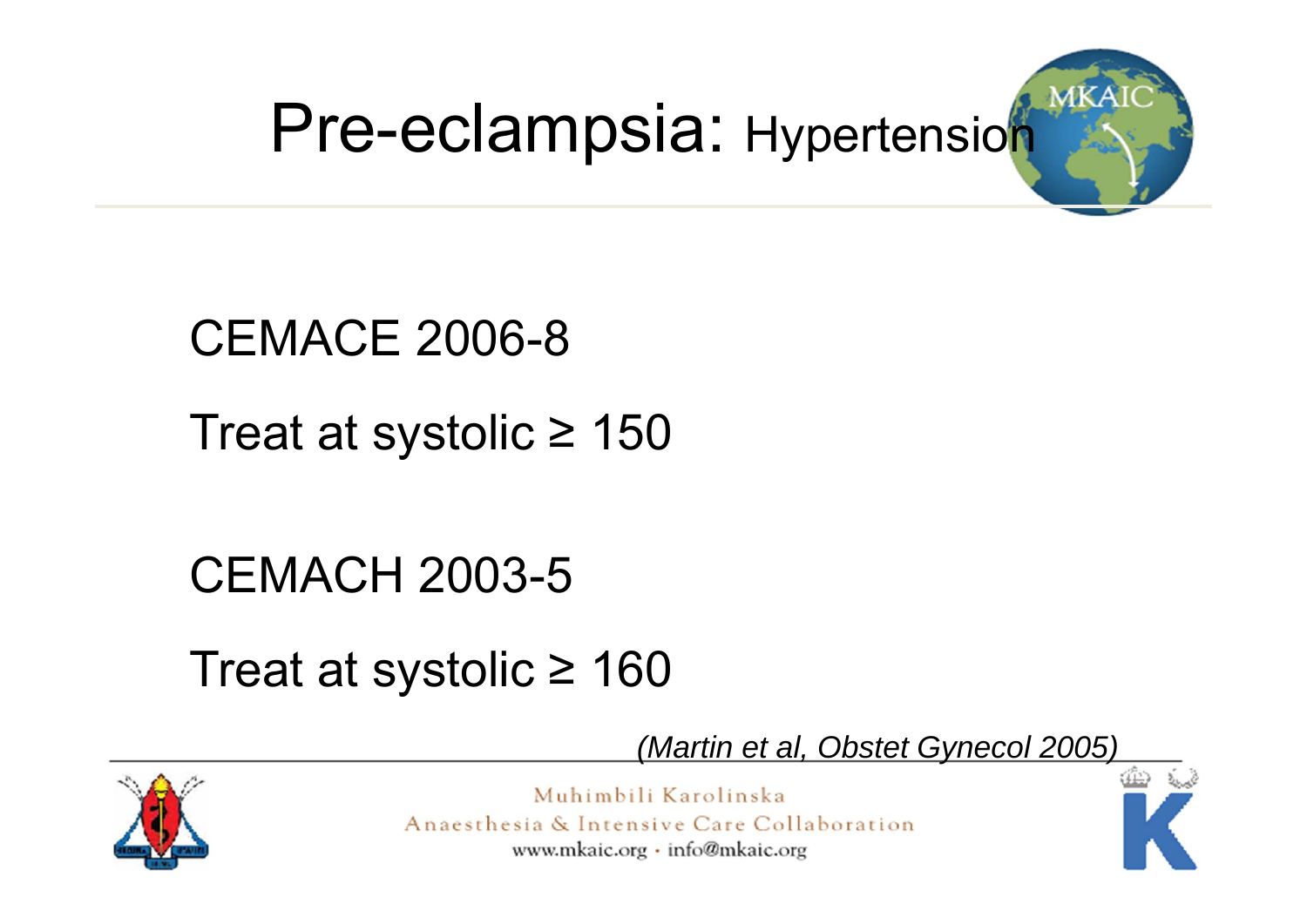



#### CEMACE 2006-8

Treat at systolic ≥ 150

CEMACH 2003-5

Treat at systolic ≥ 160



*(Martin et al, Obstet Gynecol 2005)*

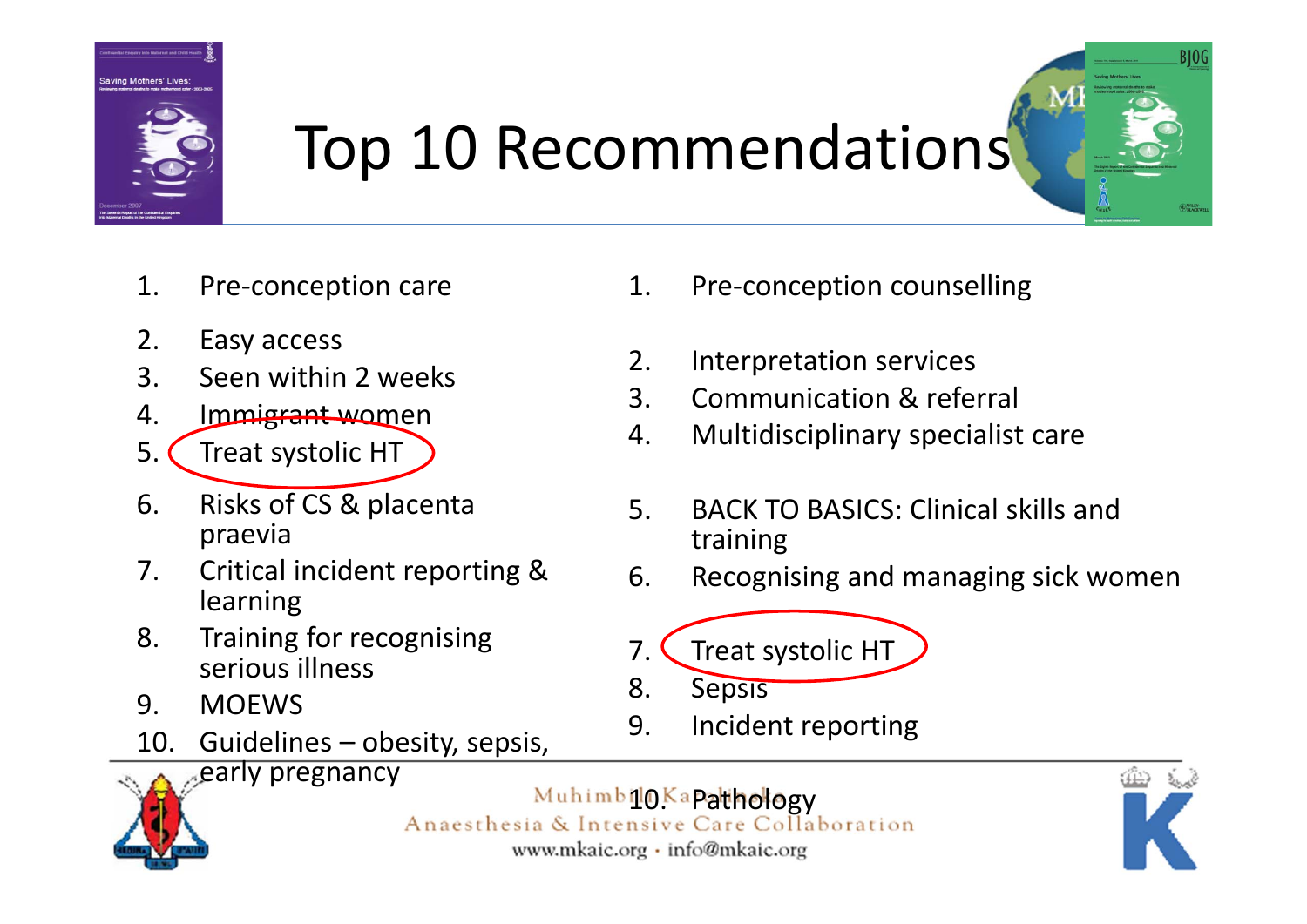

### Top 10 Recommendations

- 1. Pre‐conception care
- 2. Easy access
- 3. Seen within 2 weeks
- 4. Immigrant women
- 5. C Treat systolic HT
- 6. Risks of CS & placenta praevia
- 7. Critical incident reporting & learning
- 8. Training for recognising serious illness
- 9. MOEWS
- 10. Guidelines obesity, sepsis,
- 
- 5. BACK TO BASICS: Clinical skills and training

1. Pre‐conception counselling

2. Interpretation services

3. Communication & referral

4. Multidisciplinary specialist care

- 6. Recognising and managing sick women
- 7. Treat systolic HT
- 8. Sepsis
- 9. Incident reporting



Muhimbil OKapathology<br>Anaesthesia & Intensive Care Collaboration www.mkaic.org · info@mkaic.org



**BIOG**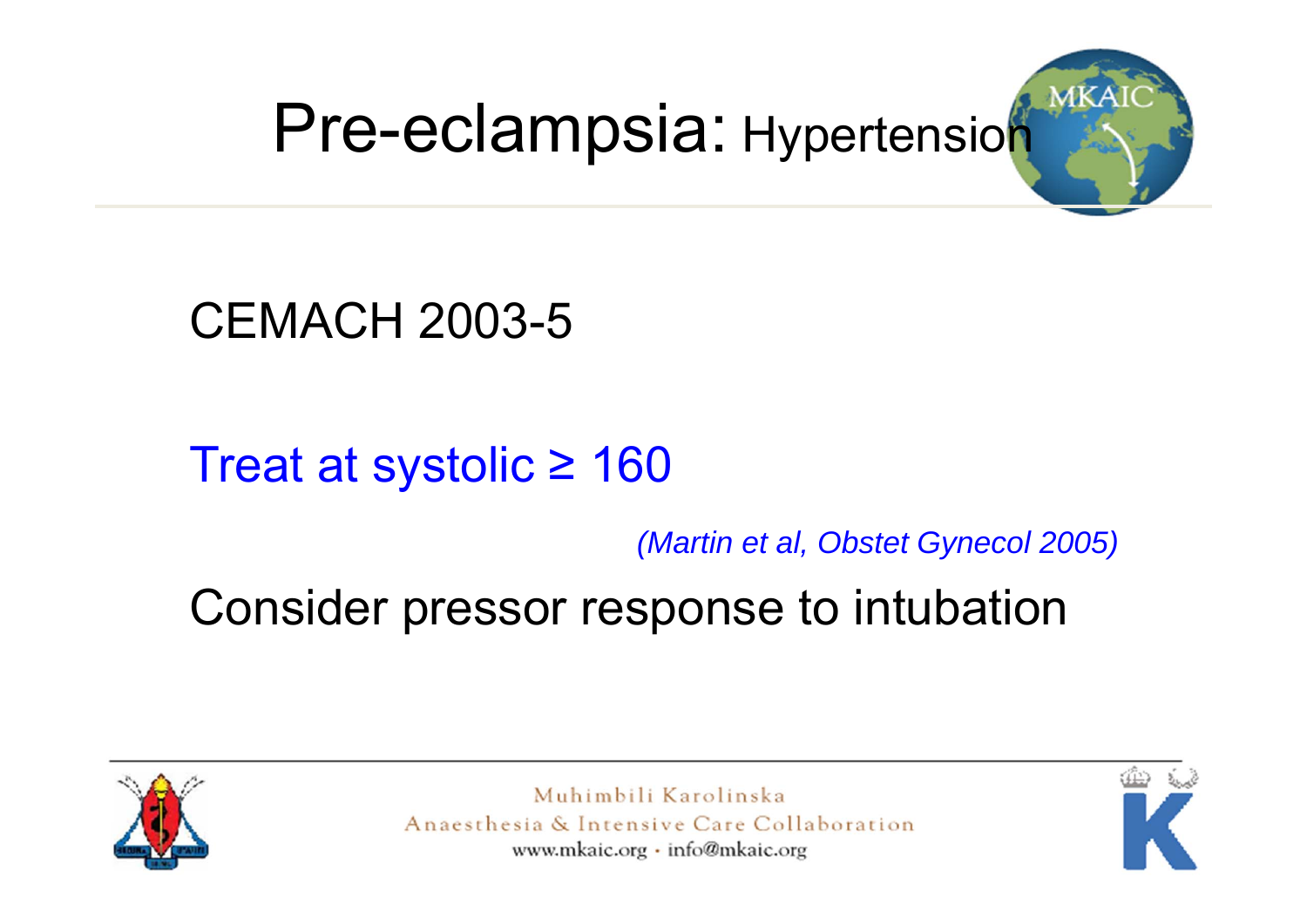## Pre-eclampsia: Hypertension



CEMACH 2003-5

#### Treat at systolic ≥ 160

*(Martin et al, Obstet Gynecol 2005)*

Consider pressor response to intubation



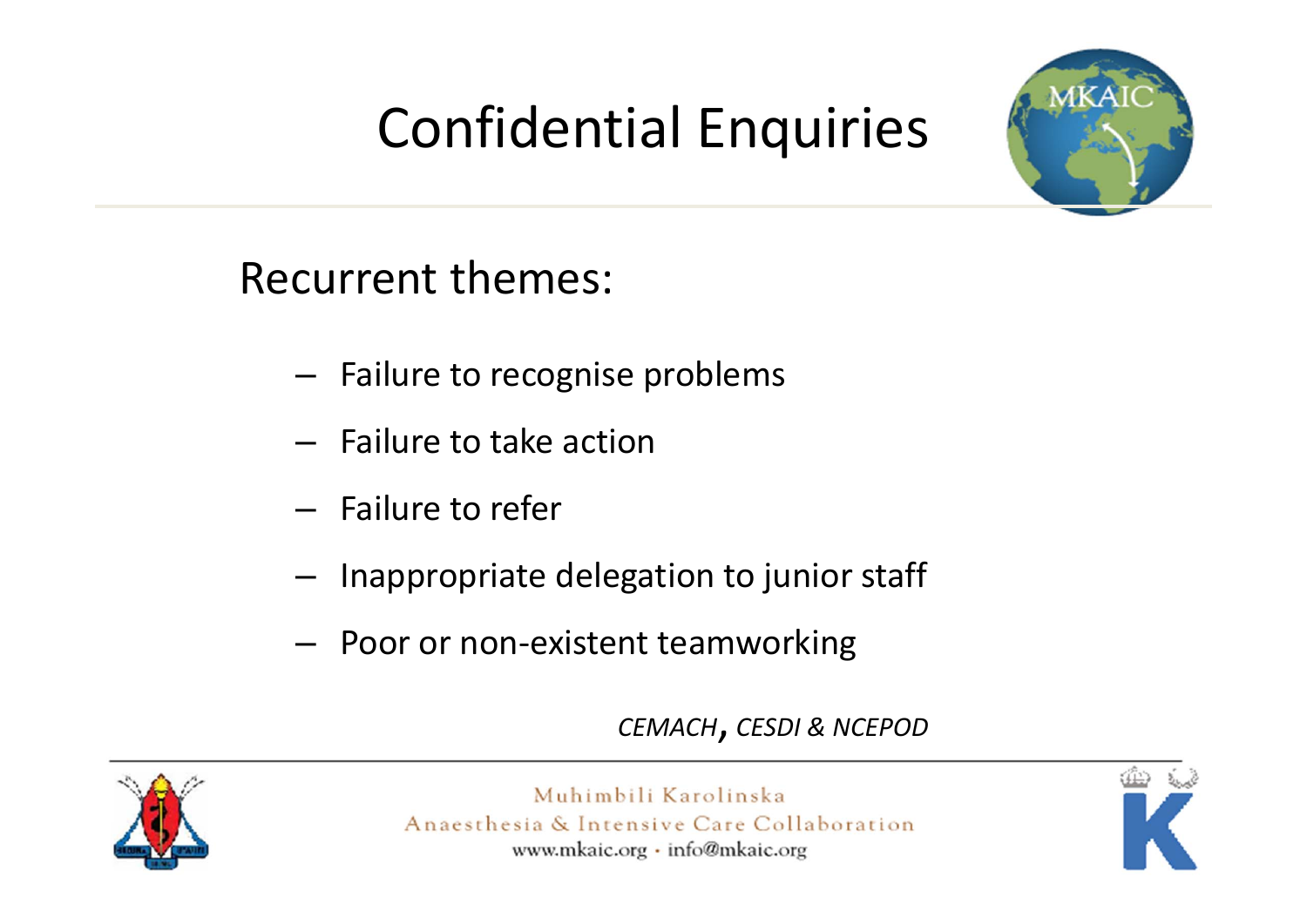### Confidential Enquiries



Recurrent themes:

- – $-$  Failure to recognise problems
- Failure to take action
- Failure to refer
- – $-$  Inappropriate delegation to junior staff
- –Poor or non‐existent teamworking

*CEMACH*, *CESDI & NCEPOD*



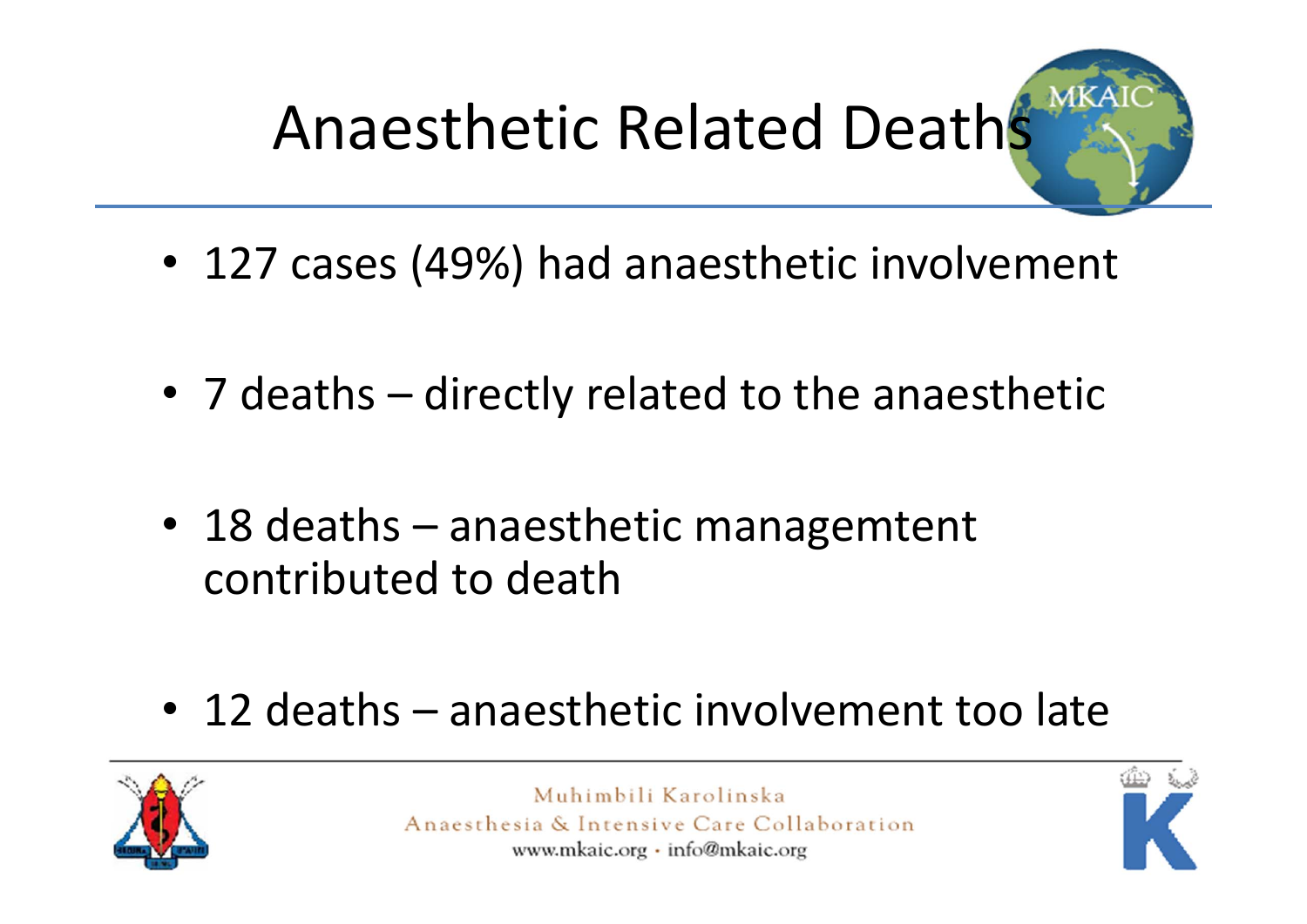

- 127 cases (49%) had anaesthetic involvement
- 7 deaths directly related to the anaesthetic
- 18 deaths anaesthetic managemtent contributed to death
- 12 deaths anaesthetic involvement too late



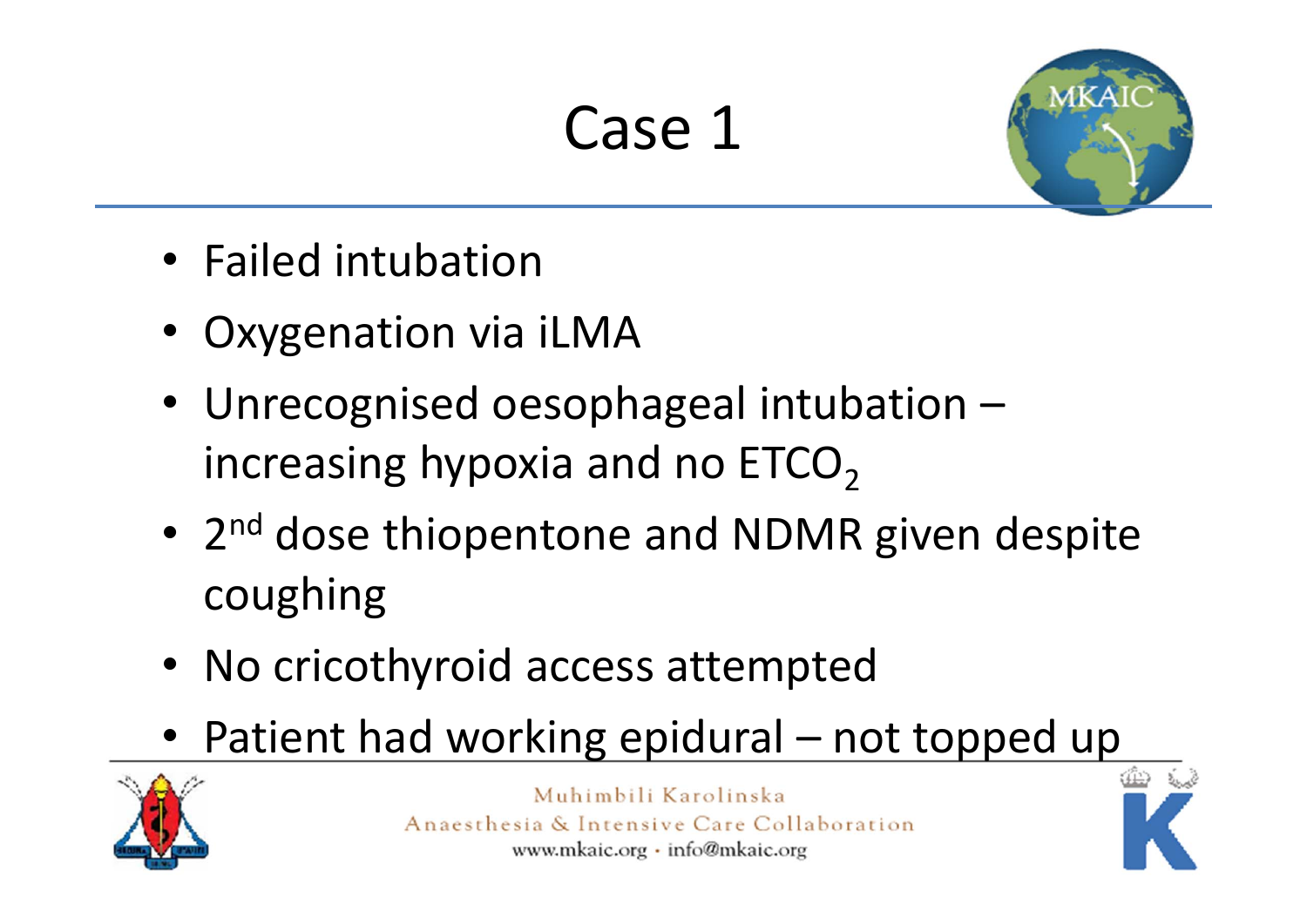### Case 1



- Failed intubation
- Oxygenation via iLMA
- Unrecognised oesophageal intubation increasing hypoxia and no  $ETCO<sub>2</sub>$
- 2<sup>nd</sup> dose thiopentone and NDMR given despite coughing
- No cricothyroid access attempted
- •• Patient had working epidural – not topped up



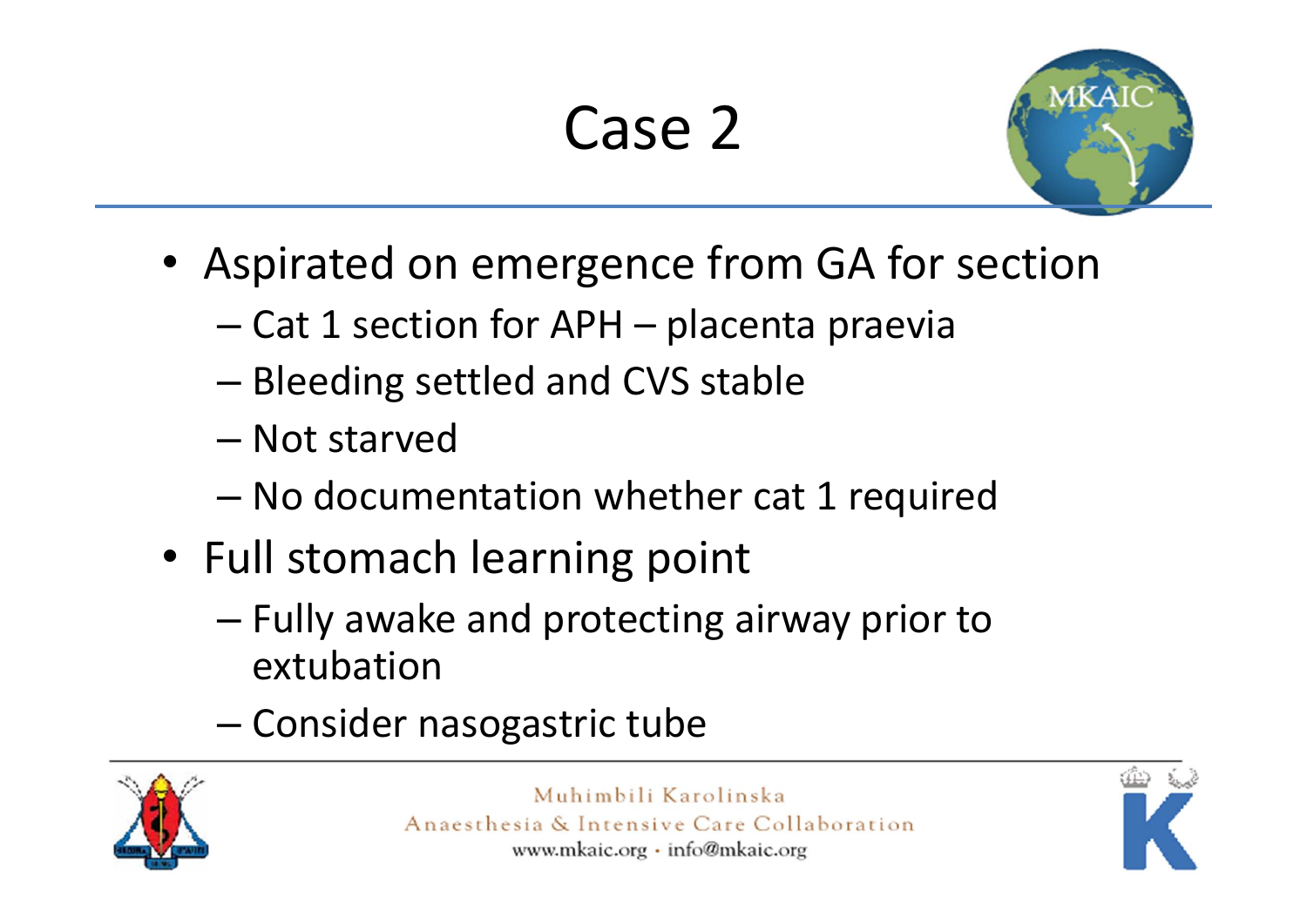## Case 2



- Aspirated on emergence from GA for section
	- Cat 1 section for APH placenta praevia
	- and the state of the state Bleeding settled and CVS stable
	- Not starved
	- –No documentation whether cat 1 required
- Full stomach learning point
	- – Fully awake and protecting airway prior to extubation
	- –Consider nasogastric tube



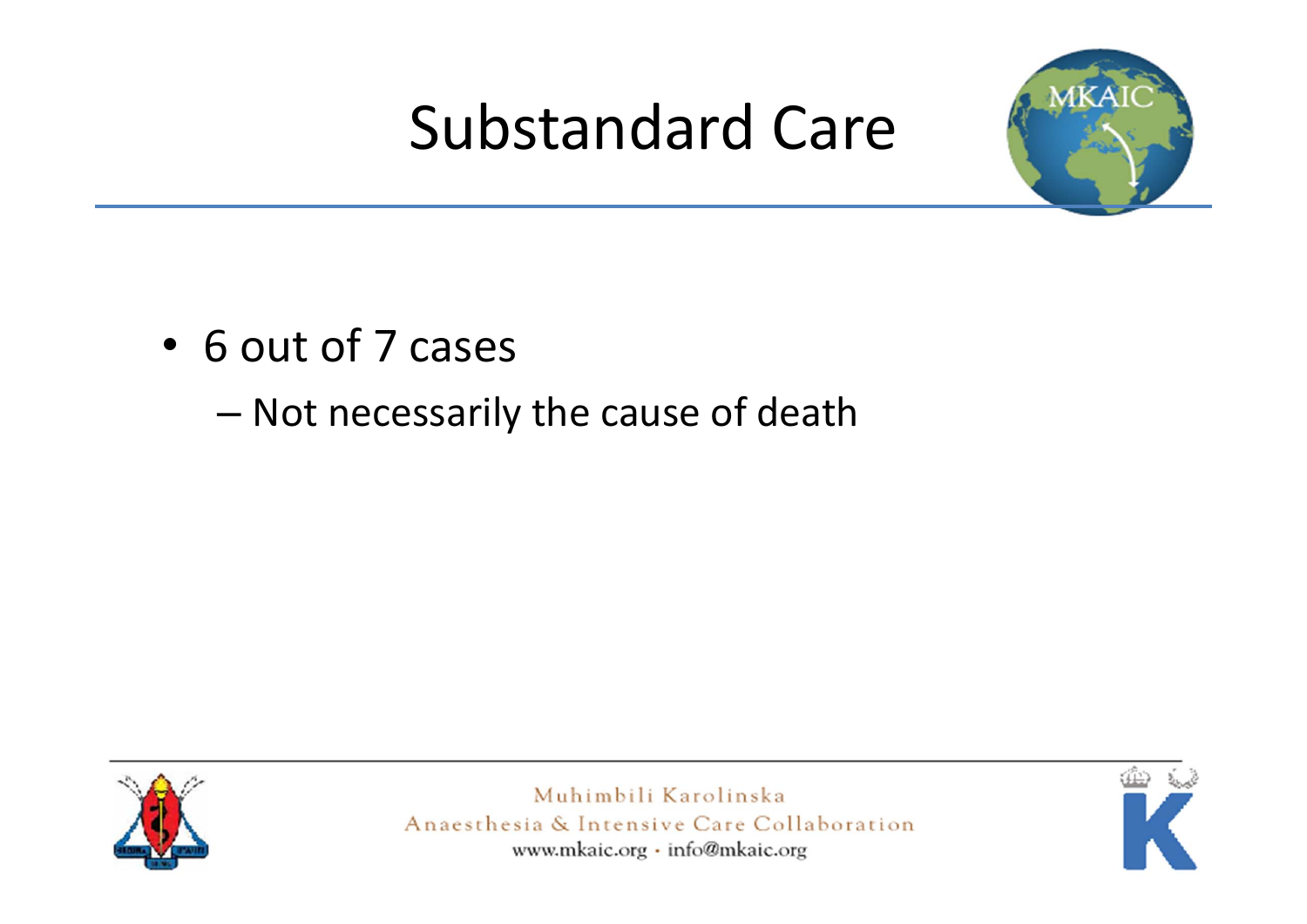### Substandard Care



- 6 out of 7 cases
	- –Not necessarily the cause of death



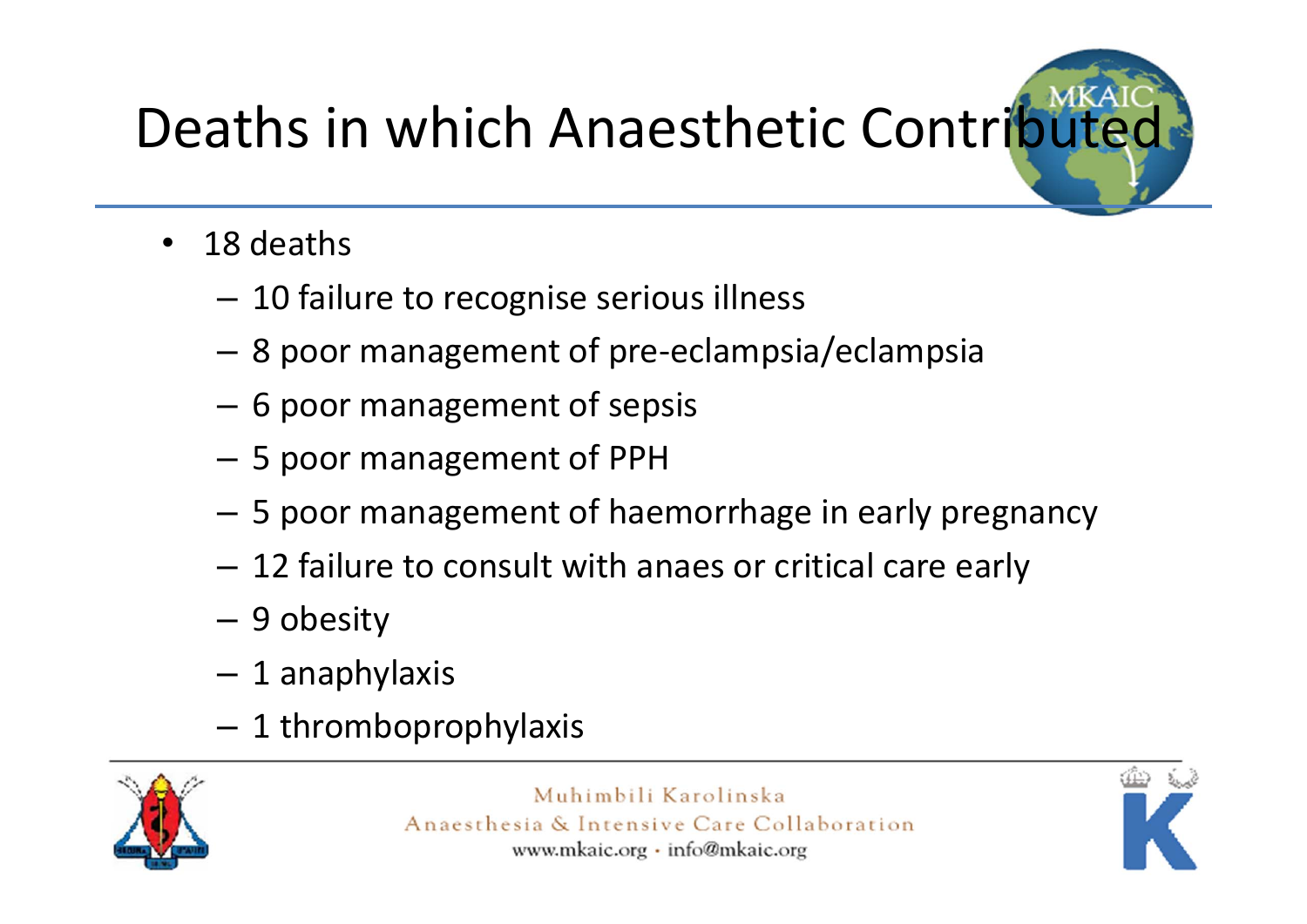# Deaths in which Anaesthetic Contributed

- $\bullet$ • 18 deaths
	- $-$  10 failure to recognise serious illness
	- 8 poor management of pre‐eclampsia/eclampsia
	- –6 poor management of sepsis
	- –5 poor management of PPH
	- –5 poor management of haemorrhage in early pregnancy
	- –12 failure to consult with anaes or critical care early
	- –9 obesity
	- 1 anaphylaxis
	- $-$  1 thromboprophylaxis